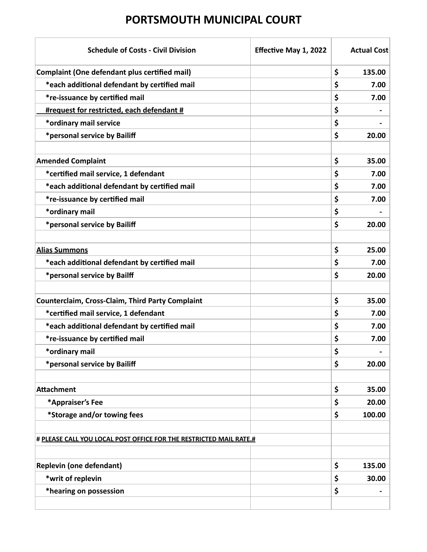| <b>Schedule of Costs - Civil Division</b>                          | Effective May 1, 2022 | <b>Actual Cost</b> |
|--------------------------------------------------------------------|-----------------------|--------------------|
| <b>Complaint (One defendant plus certified mail)</b>               |                       | \$<br>135.00       |
| *each additional defendant by certified mail                       |                       | \$<br>7.00         |
| *re-issuance by certified mail                                     |                       | \$<br>7.00         |
| #request for restricted, each defendant #                          |                       | \$                 |
| *ordinary mail service                                             |                       | \$                 |
| *personal service by Bailiff                                       |                       | \$<br>20.00        |
|                                                                    |                       |                    |
| <b>Amended Complaint</b>                                           |                       | \$<br>35.00        |
| *certified mail service, 1 defendant                               |                       | \$<br>7.00         |
| *each additional defendant by certified mail                       |                       | \$<br>7.00         |
| <i>*re-issuance by certified mail</i>                              |                       | \$<br>7.00         |
| *ordinary mail                                                     |                       | \$                 |
| *personal service by Bailiff                                       |                       | \$<br>20.00        |
|                                                                    |                       |                    |
| <b>Alias Summons</b>                                               |                       | \$<br>25.00        |
| *each additional defendant by certified mail                       |                       | \$<br>7.00         |
| *personal service by Bailff                                        |                       | \$<br>20.00        |
|                                                                    |                       |                    |
| <b>Counterclaim, Cross-Claim, Third Party Complaint</b>            |                       | \$<br>35.00        |
| *certified mail service, 1 defendant                               |                       | \$<br>7.00         |
| *each additional defendant by certified mail                       |                       | \$<br>7.00         |
| *re-issuance by certified mail                                     |                       | \$<br>7.00         |
| *ordinary mail                                                     |                       | \$                 |
| *personal service by Bailiff                                       |                       | \$<br>20.00        |
|                                                                    |                       |                    |
| <b>Attachment</b>                                                  |                       | \$<br>35.00        |
| *Appraiser's Fee                                                   |                       | \$<br>20.00        |
| *Storage and/or towing fees                                        |                       | \$<br>100.00       |
|                                                                    |                       |                    |
| # PLEASE CALL YOU LOCAL POST OFFICE FOR THE RESTRICTED MAIL RATE.# |                       |                    |
|                                                                    |                       |                    |
| <b>Replevin (one defendant)</b>                                    |                       | \$<br>135.00       |
| *writ of replevin                                                  |                       | \$<br>30.00        |
| *hearing on possession                                             |                       | \$                 |
|                                                                    |                       |                    |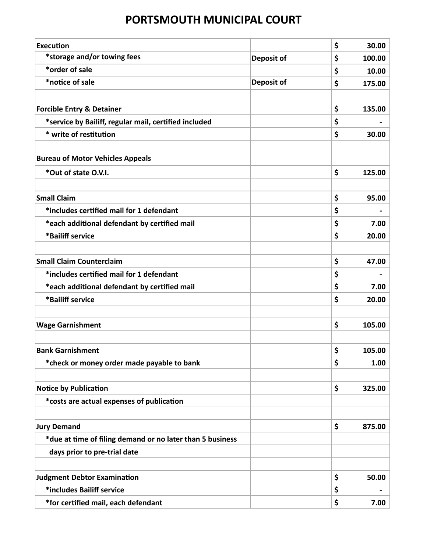| <b>Execution</b>                                          |                   | \$<br>30.00  |
|-----------------------------------------------------------|-------------------|--------------|
| *storage and/or towing fees                               | <b>Deposit of</b> | 100.00<br>\$ |
| *order of sale                                            |                   | \$<br>10.00  |
| *notice of sale                                           | <b>Deposit of</b> | \$<br>175.00 |
|                                                           |                   |              |
| <b>Forcible Entry &amp; Detainer</b>                      |                   | \$<br>135.00 |
| *service by Bailiff, regular mail, certified included     |                   | \$           |
| * write of restitution                                    |                   | \$<br>30.00  |
|                                                           |                   |              |
| <b>Bureau of Motor Vehicles Appeals</b>                   |                   |              |
| *Out of state O.V.I.                                      |                   | \$<br>125.00 |
|                                                           |                   |              |
| <b>Small Claim</b>                                        |                   | \$<br>95.00  |
| *includes certified mail for 1 defendant                  |                   | \$           |
| *each additional defendant by certified mail              |                   | \$<br>7.00   |
| *Bailiff service                                          |                   | \$<br>20.00  |
|                                                           |                   |              |
| <b>Small Claim Counterclaim</b>                           |                   | \$<br>47.00  |
| *includes certified mail for 1 defendant                  |                   | \$           |
| *each additional defendant by certified mail              |                   | \$<br>7.00   |
| *Bailiff service                                          |                   | \$<br>20.00  |
|                                                           |                   |              |
| <b>Wage Garnishment</b>                                   |                   | \$<br>105.00 |
|                                                           |                   |              |
| <b>Bank Garnishment</b>                                   |                   | \$<br>105.00 |
| *check or money order made payable to bank                |                   | \$<br>1.00   |
|                                                           |                   |              |
| <b>Notice by Publication</b>                              |                   | \$<br>325.00 |
| *costs are actual expenses of publication                 |                   |              |
|                                                           |                   |              |
| <b>Jury Demand</b>                                        |                   | \$<br>875.00 |
| *due at time of filing demand or no later than 5 business |                   |              |
| days prior to pre-trial date                              |                   |              |
|                                                           |                   |              |
| <b>Judgment Debtor Examination</b>                        |                   | \$<br>50.00  |
| *includes Bailiff service                                 |                   | \$           |
| *for certified mail, each defendant                       |                   | \$<br>7.00   |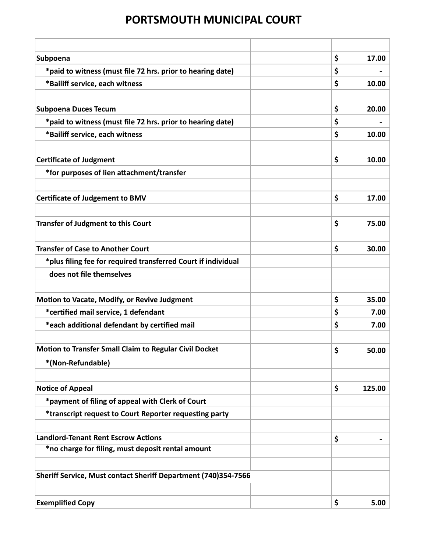| Subpoena                                                       | \$ | 17.00  |
|----------------------------------------------------------------|----|--------|
| *paid to witness (must file 72 hrs. prior to hearing date)     | \$ |        |
| *Bailiff service, each witness                                 | \$ | 10.00  |
|                                                                |    |        |
| <b>Subpoena Duces Tecum</b>                                    | \$ | 20.00  |
| *paid to witness (must file 72 hrs. prior to hearing date)     | \$ |        |
| *Bailiff service, each witness                                 | \$ | 10.00  |
|                                                                |    |        |
| <b>Certificate of Judgment</b>                                 | \$ | 10.00  |
| *for purposes of lien attachment/transfer                      |    |        |
|                                                                |    |        |
| <b>Certificate of Judgement to BMV</b>                         | \$ | 17.00  |
|                                                                |    |        |
| <b>Transfer of Judgment to this Court</b>                      | \$ | 75.00  |
|                                                                |    |        |
| <b>Transfer of Case to Another Court</b>                       | \$ | 30.00  |
| *plus filing fee for required transferred Court if individual  |    |        |
| does not file themselves                                       |    |        |
|                                                                |    |        |
| Motion to Vacate, Modify, or Revive Judgment                   | \$ | 35.00  |
| *certified mail service, 1 defendant                           | \$ | 7.00   |
| *each additional defendant by certified mail                   | \$ | 7.00   |
|                                                                |    |        |
| <b>Motion to Transfer Small Claim to Regular Civil Docket</b>  | \$ | 50.00  |
| *(Non-Refundable)                                              |    |        |
|                                                                |    |        |
| <b>Notice of Appeal</b>                                        | \$ | 125.00 |
| *payment of filing of appeal with Clerk of Court               |    |        |
| *transcript request to Court Reporter requesting party         |    |        |
|                                                                |    |        |
| <b>Landlord-Tenant Rent Escrow Actions</b>                     | \$ |        |
| *no charge for filing, must deposit rental amount              |    |        |
|                                                                |    |        |
| Sheriff Service, Must contact Sheriff Department (740)354-7566 |    |        |
|                                                                |    |        |
| <b>Exemplified Copy</b>                                        | \$ | 5.00   |